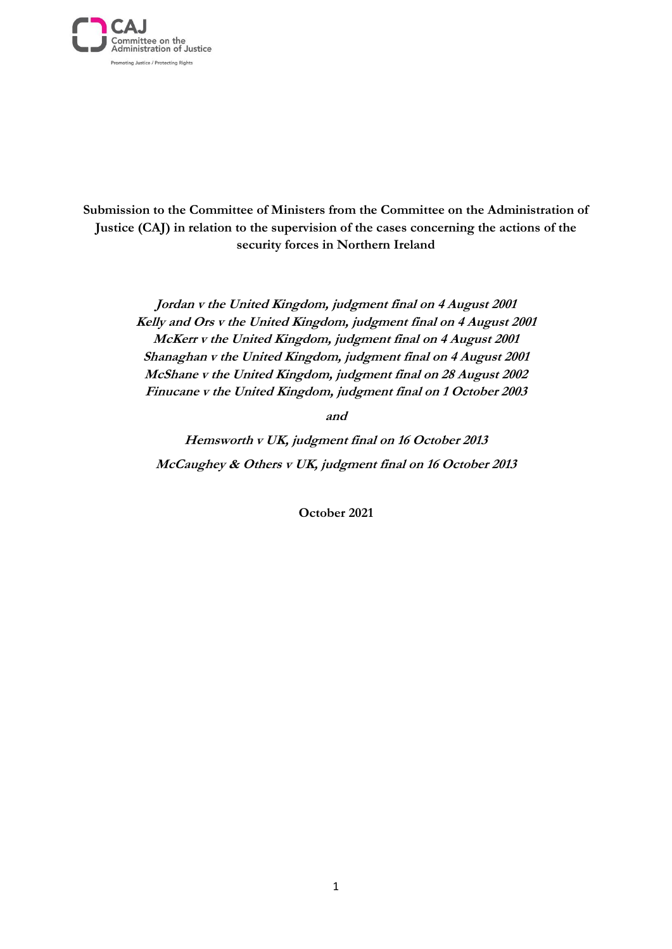

**Submission to the Committee of Ministers from the Committee on the Administration of Justice (CAJ) in relation to the supervision of the cases concerning the actions of the security forces in Northern Ireland**

> **Jordan v the United Kingdom, judgment final on 4 August 2001 Kelly and Ors v the United Kingdom, judgment final on 4 August 2001 McKerr v the United Kingdom, judgment final on 4 August 2001 Shanaghan v the United Kingdom, judgment final on 4 August 2001 McShane v the United Kingdom, judgment final on 28 August 2002 Finucane v the United Kingdom, judgment final on 1 October 2003**

> > **and**

**Hemsworth v UK, judgment final on 16 October 2013 McCaughey & Others v UK, judgment final on 16 October 2013**

**October 2021**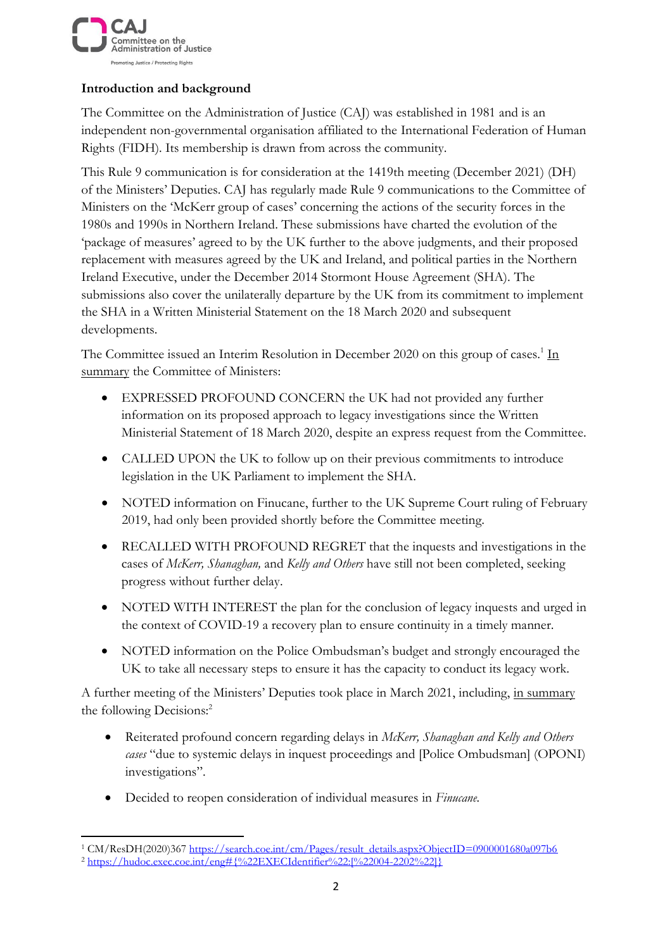

# **Introduction and background**

The Committee on the Administration of Justice (CAJ) was established in 1981 and is an independent non-governmental organisation affiliated to the International Federation of Human Rights (FIDH). Its membership is drawn from across the community.

This Rule 9 communication is for consideration at the 1419th meeting (December 2021) (DH) of the Ministers' Deputies. CAJ has regularly made Rule 9 communications to the Committee of Ministers on the 'McKerr group of cases' concerning the actions of the security forces in the 1980s and 1990s in Northern Ireland. These submissions have charted the evolution of the 'package of measures' agreed to by the UK further to the above judgments, and their proposed replacement with measures agreed by the UK and Ireland, and political parties in the Northern Ireland Executive, under the December 2014 Stormont House Agreement (SHA). The submissions also cover the unilaterally departure by the UK from its commitment to implement the SHA in a Written Ministerial Statement on the 18 March 2020 and subsequent developments.

The Committee issued an Interim Resolution in December 2020 on this group of cases.<sup>1</sup> In summary the Committee of Ministers:

- EXPRESSED PROFOUND CONCERN the UK had not provided any further information on its proposed approach to legacy investigations since the Written Ministerial Statement of 18 March 2020, despite an express request from the Committee.
- CALLED UPON the UK to follow up on their previous commitments to introduce legislation in the UK Parliament to implement the SHA.
- NOTED information on Finucane, further to the UK Supreme Court ruling of February 2019, had only been provided shortly before the Committee meeting.
- RECALLED WITH PROFOUND REGRET that the inquests and investigations in the cases of *McKerr, Shanaghan,* and *Kelly and Others* have still not been completed, seeking progress without further delay.
- NOTED WITH INTEREST the plan for the conclusion of legacy inquests and urged in the context of COVID-19 a recovery plan to ensure continuity in a timely manner.
- NOTED information on the Police Ombudsman's budget and strongly encouraged the UK to take all necessary steps to ensure it has the capacity to conduct its legacy work.

A further meeting of the Ministers' Deputies took place in March 2021, including, in summary the following Decisions:<sup>2</sup>

- Reiterated profound concern regarding delays in *McKerr, Shanaghan and Kelly and Others cases* "due to systemic delays in inquest proceedings and [Police Ombudsman] (OPONI) investigations".
- Decided to reopen consideration of individual measures in *Finucane.*

<sup>&</sup>lt;sup>1</sup> CM/ResDH(2020)367 [https://search.coe.int/cm/Pages/result\\_details.aspx?ObjectID=0900001680a097b6](https://search.coe.int/cm/Pages/result_details.aspx?ObjectID=0900001680a097b6) <sup>2</sup> [https://hudoc.exec.coe.int/eng#{%22EXECIdentifier%22:\[%22004-2202%22\]}](https://hudoc.exec.coe.int/eng#{%22EXECIdentifier%22:[%22004-2202%22]})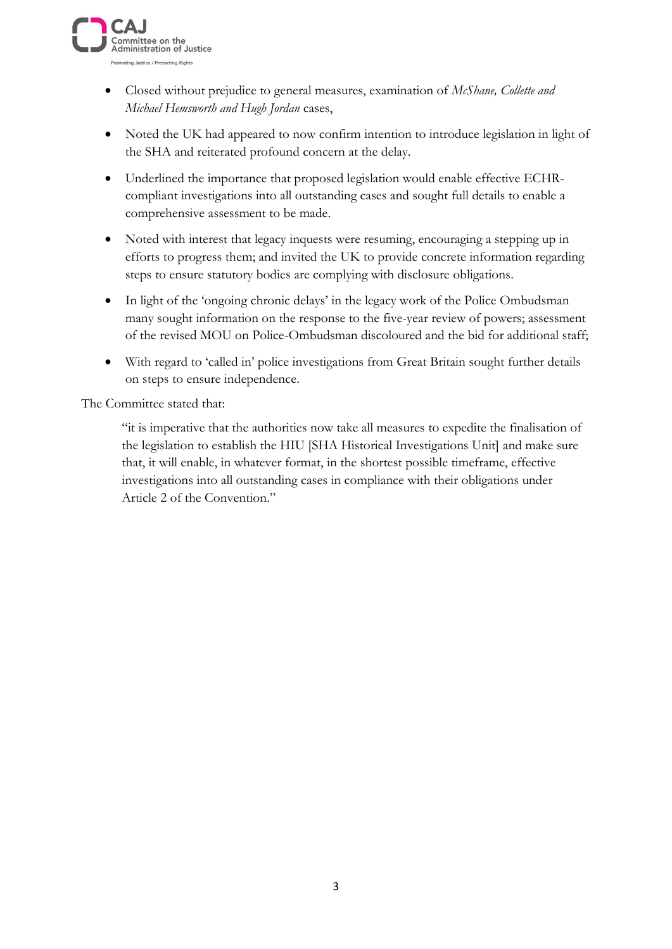

- Closed without prejudice to general measures, examination of *McShane, Collette and Michael Hemsworth and Hugh Jordan* cases,
- Noted the UK had appeared to now confirm intention to introduce legislation in light of the SHA and reiterated profound concern at the delay.
- Underlined the importance that proposed legislation would enable effective ECHRcompliant investigations into all outstanding cases and sought full details to enable a comprehensive assessment to be made.
- Noted with interest that legacy inquests were resuming, encouraging a stepping up in efforts to progress them; and invited the UK to provide concrete information regarding steps to ensure statutory bodies are complying with disclosure obligations.
- In light of the 'ongoing chronic delays' in the legacy work of the Police Ombudsman many sought information on the response to the five-year review of powers; assessment of the revised MOU on Police-Ombudsman discoloured and the bid for additional staff;
- With regard to 'called in' police investigations from Great Britain sought further details on steps to ensure independence.

The Committee stated that:

"it is imperative that the authorities now take all measures to expedite the finalisation of the legislation to establish the HIU [SHA Historical Investigations Unit] and make sure that, it will enable, in whatever format, in the shortest possible timeframe, effective investigations into all outstanding cases in compliance with their obligations under Article 2 of the Convention."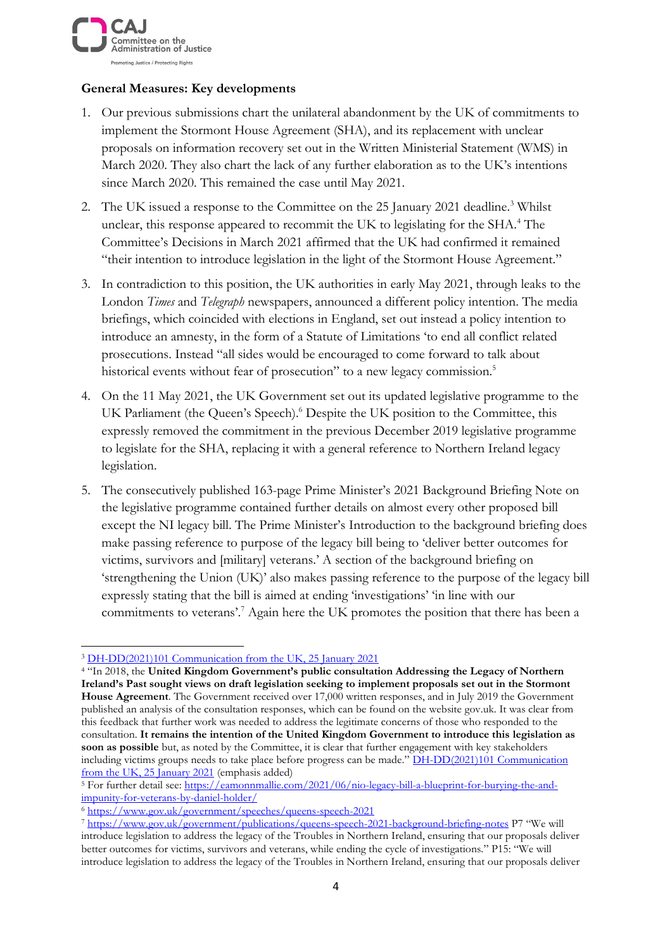

### **General Measures: Key developments**

- 1. Our previous submissions chart the unilateral abandonment by the UK of commitments to implement the Stormont House Agreement (SHA), and its replacement with unclear proposals on information recovery set out in the Written Ministerial Statement (WMS) in March 2020. They also chart the lack of any further elaboration as to the UK's intentions since March 2020. This remained the case until May 2021.
- 2. The UK issued a response to the Committee on the 25 January 2021 deadline.<sup>3</sup> Whilst unclear, this response appeared to recommit the UK to legislating for the SHA.<sup>4</sup> The Committee's Decisions in March 2021 affirmed that the UK had confirmed it remained "their intention to introduce legislation in the light of the Stormont House Agreement."
- 3. In contradiction to this position, the UK authorities in early May 2021, through leaks to the London *Times* and *Telegraph* newspapers, announced a different policy intention. The media briefings, which coincided with elections in England, set out instead a policy intention to introduce an amnesty, in the form of a Statute of Limitations 'to end all conflict related prosecutions. Instead "all sides would be encouraged to come forward to talk about historical events without fear of prosecution" to a new legacy commission.<sup>5</sup>
- 4. On the 11 May 2021, the UK Government set out its updated legislative programme to the UK Parliament (the Queen's Speech).<sup>6</sup> Despite the UK position to the Committee, this expressly removed the commitment in the previous December 2019 legislative programme to legislate for the SHA, replacing it with a general reference to Northern Ireland legacy legislation.
- 5. The consecutively published 163-page Prime Minister's 2021 Background Briefing Note on the legislative programme contained further details on almost every other proposed bill except the NI legacy bill. The Prime Minister's Introduction to the background briefing does make passing reference to purpose of the legacy bill being to 'deliver better outcomes for victims, survivors and [military] veterans.' A section of the background briefing on 'strengthening the Union (UK)' also makes passing reference to the purpose of the legacy bill expressly stating that the bill is aimed at ending 'investigations' 'in line with our commitments to veterans'.<sup>7</sup> Again here the UK promotes the position that there has been a

<sup>3</sup> [DH-DD\(2021\)101 Communication from the UK, 25 January 2021](https://search.coe.int/cm/Pages/result_details.aspx?ObjectId=0900001680a13307)

<sup>4</sup> "In 2018, the **United Kingdom Government's public consultation Addressing the Legacy of Northern Ireland's Past sought views on draft legislation seeking to implement proposals set out in the Stormont House Agreement**. The Government received over 17,000 written responses, and in July 2019 the Government published an analysis of the consultation responses, which can be found on the website gov.uk. It was clear from this feedback that further work was needed to address the legitimate concerns of those who responded to the consultation. **It remains the intention of the United Kingdom Government to introduce this legislation as soon as possible** but, as noted by the Committee, it is clear that further engagement with key stakeholders including victims groups needs to take place before progress can be made." DH-DD(2021)101 Communication [from the UK, 25 January 2021](https://search.coe.int/cm/Pages/result_details.aspx?ObjectId=0900001680a13307) (emphasis added)

<sup>5</sup> For further detail see: [https://eamonnmallie.com/2021/06/nio-legacy-bill-a-blueprint-for-burying-the-and](https://eamonnmallie.com/2021/06/nio-legacy-bill-a-blueprint-for-burying-the-and-impunity-for-veterans-by-daniel-holder/)[impunity-for-veterans-by-daniel-holder/](https://eamonnmallie.com/2021/06/nio-legacy-bill-a-blueprint-for-burying-the-and-impunity-for-veterans-by-daniel-holder/) 

<sup>6</sup> <https://www.gov.uk/government/speeches/queens-speech-2021>

<sup>7</sup> <https://www.gov.uk/government/publications/queens-speech-2021-background-briefing-notes> P7 "We will introduce legislation to address the legacy of the Troubles in Northern Ireland, ensuring that our proposals deliver better outcomes for victims, survivors and veterans, while ending the cycle of investigations." P15: "We will introduce legislation to address the legacy of the Troubles in Northern Ireland, ensuring that our proposals deliver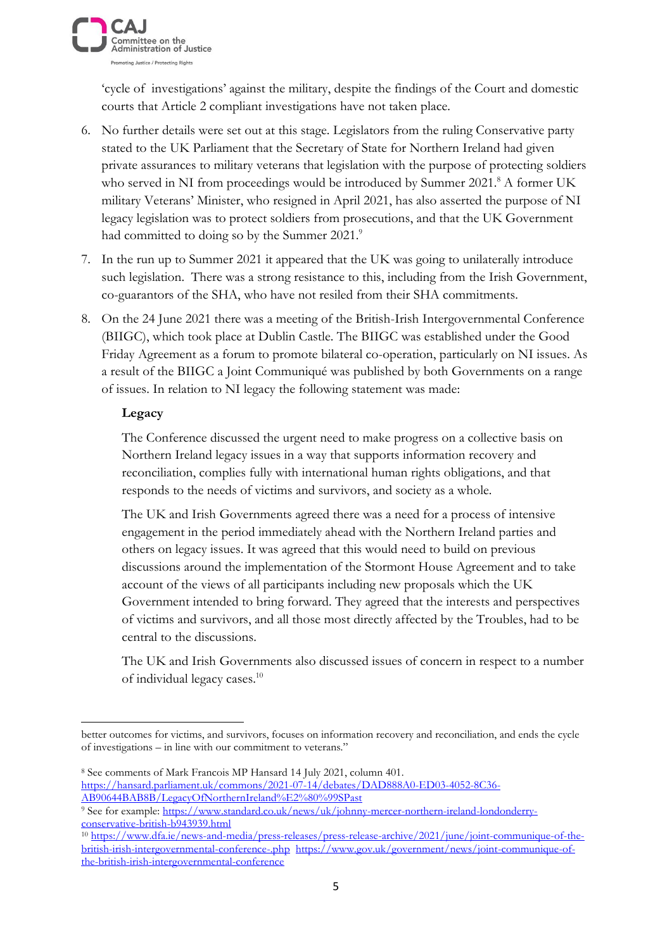

'cycle of investigations' against the military, despite the findings of the Court and domestic courts that Article 2 compliant investigations have not taken place.

- 6. No further details were set out at this stage. Legislators from the ruling Conservative party stated to the UK Parliament that the Secretary of State for Northern Ireland had given private assurances to military veterans that legislation with the purpose of protecting soldiers who served in NI from proceedings would be introduced by Summer  $2021$ .<sup>8</sup> A former UK military Veterans' Minister, who resigned in April 2021, has also asserted the purpose of NI legacy legislation was to protect soldiers from prosecutions, and that the UK Government had committed to doing so by the Summer 2021.<sup>9</sup>
- 7. In the run up to Summer 2021 it appeared that the UK was going to unilaterally introduce such legislation. There was a strong resistance to this, including from the Irish Government, co-guarantors of the SHA, who have not resiled from their SHA commitments.
- 8. On the 24 June 2021 there was a meeting of the British-Irish Intergovernmental Conference (BIIGC), which took place at Dublin Castle. The BIIGC was established under the Good Friday Agreement as a forum to promote bilateral co-operation, particularly on NI issues. As a result of the BIIGC a Joint Communiqué was published by both Governments on a range of issues. In relation to NI legacy the following statement was made:

### **Legacy**

The Conference discussed the urgent need to make progress on a collective basis on Northern Ireland legacy issues in a way that supports information recovery and reconciliation, complies fully with international human rights obligations, and that responds to the needs of victims and survivors, and society as a whole.

The UK and Irish Governments agreed there was a need for a process of intensive engagement in the period immediately ahead with the Northern Ireland parties and others on legacy issues. It was agreed that this would need to build on previous discussions around the implementation of the Stormont House Agreement and to take account of the views of all participants including new proposals which the UK Government intended to bring forward. They agreed that the interests and perspectives of victims and survivors, and all those most directly affected by the Troubles, had to be central to the discussions.

The UK and Irish Governments also discussed issues of concern in respect to a number of individual legacy cases.<sup>10</sup>

better outcomes for victims, and survivors, focuses on information recovery and reconciliation, and ends the cycle of investigations – in line with our commitment to veterans."

<sup>8</sup> See comments of Mark Francois MP Hansard 14 July 2021, column 401. [https://hansard.parliament.uk/commons/2021-07-14/debates/DAD888A0-ED03-4052-8C36-](https://hansard.parliament.uk/commons/2021-07-14/debates/DAD888A0-ED03-4052-8C36-AB90644BAB8B/LegacyOfNorthernIreland%E2%80%99SPast) [AB90644BAB8B/LegacyOfNorthernIreland%E2%80%99SPast](https://hansard.parliament.uk/commons/2021-07-14/debates/DAD888A0-ED03-4052-8C36-AB90644BAB8B/LegacyOfNorthernIreland%E2%80%99SPast)

<sup>9</sup> See for example: [https://www.standard.co.uk/news/uk/johnny-mercer-northern-ireland-londonderry](https://www.standard.co.uk/news/uk/johnny-mercer-northern-ireland-londonderry-conservative-british-b943939.html)[conservative-british-b943939.html](https://www.standard.co.uk/news/uk/johnny-mercer-northern-ireland-londonderry-conservative-british-b943939.html)

<sup>10</sup> [https://www.dfa.ie/news-and-media/press-releases/press-release-archive/2021/june/joint-communique-of-the](https://www.dfa.ie/news-and-media/press-releases/press-release-archive/2021/june/joint-communique-of-the-british-irish-intergovernmental-conference-.php)[british-irish-intergovernmental-conference-.php](https://www.dfa.ie/news-and-media/press-releases/press-release-archive/2021/june/joint-communique-of-the-british-irish-intergovernmental-conference-.php) [https://www.gov.uk/government/news/joint-communique-of](https://www.gov.uk/government/news/joint-communique-of-the-british-irish-intergovernmental-conference)[the-british-irish-intergovernmental-conference](https://www.gov.uk/government/news/joint-communique-of-the-british-irish-intergovernmental-conference)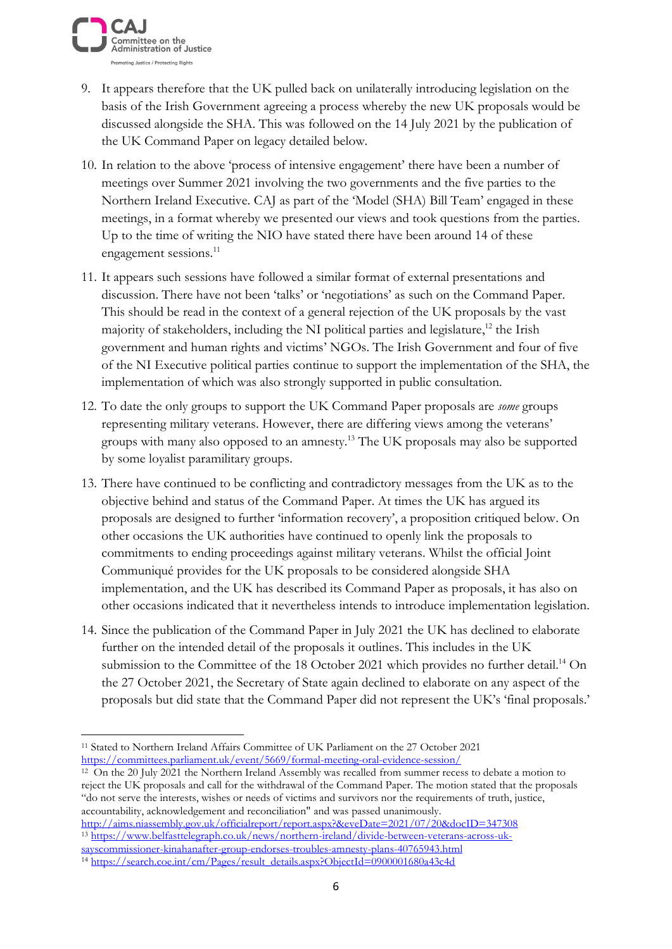

- 9. It appears therefore that the UK pulled back on unilaterally introducing legislation on the basis of the Irish Government agreeing a process whereby the new UK proposals would be discussed alongside the SHA. This was followed on the 14 July 2021 by the publication of the UK Command Paper on legacy detailed below.
- 10. In relation to the above 'process of intensive engagement' there have been a number of meetings over Summer 2021 involving the two governments and the five parties to the Northern Ireland Executive. CAJ as part of the 'Model (SHA) Bill Team' engaged in these meetings, in a format whereby we presented our views and took questions from the parties. Up to the time of writing the NIO have stated there have been around 14 of these engagement sessions.<sup>11</sup>
- 11. It appears such sessions have followed a similar format of external presentations and discussion. There have not been 'talks' or 'negotiations' as such on the Command Paper. This should be read in the context of a general rejection of the UK proposals by the vast majority of stakeholders, including the NI political parties and legislature, <sup>12</sup> the Irish government and human rights and victims' NGOs. The Irish Government and four of five of the NI Executive political parties continue to support the implementation of the SHA, the implementation of which was also strongly supported in public consultation.
- 12. To date the only groups to support the UK Command Paper proposals are *some* groups representing military veterans. However, there are differing views among the veterans' groups with many also opposed to an amnesty.<sup>13</sup> The UK proposals may also be supported by some loyalist paramilitary groups.
- 13. There have continued to be conflicting and contradictory messages from the UK as to the objective behind and status of the Command Paper. At times the UK has argued its proposals are designed to further 'information recovery', a proposition critiqued below. On other occasions the UK authorities have continued to openly link the proposals to commitments to ending proceedings against military veterans. Whilst the official Joint Communiqué provides for the UK proposals to be considered alongside SHA implementation, and the UK has described its Command Paper as proposals, it has also on other occasions indicated that it nevertheless intends to introduce implementation legislation.
- 14. Since the publication of the Command Paper in July 2021 the UK has declined to elaborate further on the intended detail of the proposals it outlines. This includes in the UK submission to the Committee of the 18 October 2021 which provides no further detail.<sup>14</sup> On the 27 October 2021, the Secretary of State again declined to elaborate on any aspect of the proposals but did state that the Command Paper did not represent the UK's 'final proposals.'

<sup>12</sup> On the 20 July 2021 the Northern Ireland Assembly was recalled from summer recess to debate a motion to reject the UK proposals and call for the withdrawal of the Command Paper. The motion stated that the proposals "do not serve the interests, wishes or needs of victims and survivors nor the requirements of truth, justice, accountability, acknowledgement and reconciliation" and was passed unanimously. <http://aims.niassembly.gov.uk/officialreport/report.aspx?&eveDate=2021/07/20&docID=347308>

<sup>13</sup> [https://www.belfasttelegraph.co.uk/news/northern-ireland/divide-between-veterans-across-uk](https://www.belfasttelegraph.co.uk/news/northern-ireland/divide-between-veterans-across-uk-sayscommissioner-kinahanafter-group-endorses-troubles-amnesty-plans-40765943.html)[sayscommissioner-kinahanafter-group-endorses-troubles-amnesty-plans-40765943.html](https://www.belfasttelegraph.co.uk/news/northern-ireland/divide-between-veterans-across-uk-sayscommissioner-kinahanafter-group-endorses-troubles-amnesty-plans-40765943.html)

<sup>11</sup> Stated to Northern Ireland Affairs Committee of UK Parliament on the 27 October 2021 <https://committees.parliament.uk/event/5669/formal-meeting-oral-evidence-session/>

<sup>&</sup>lt;sup>14</sup> [https://search.coe.int/cm/Pages/result\\_details.aspx?ObjectId=0900001680a43c4d](https://search.coe.int/cm/Pages/result_details.aspx?ObjectId=0900001680a43c4d)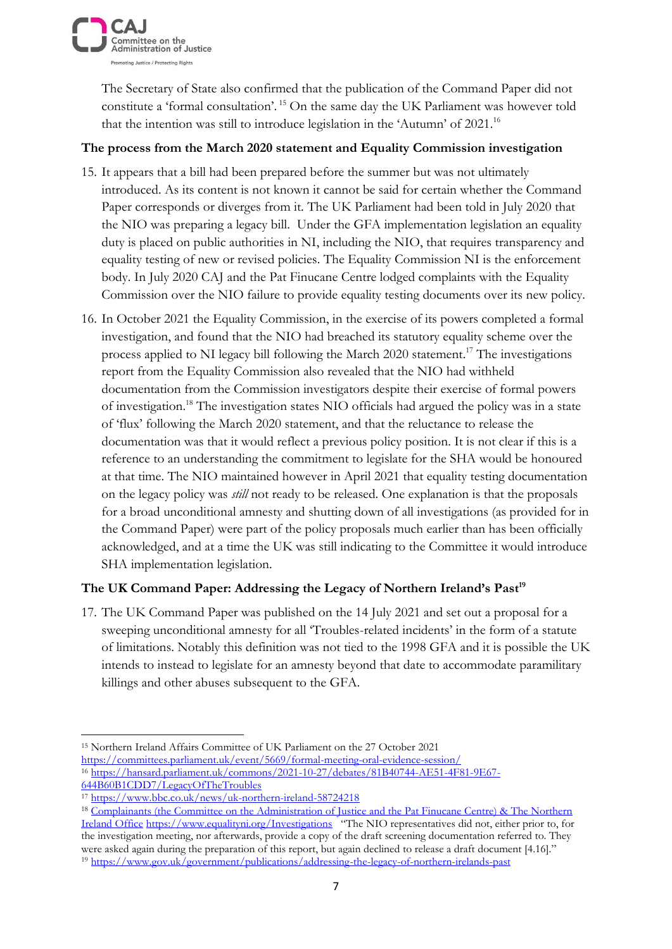

The Secretary of State also confirmed that the publication of the Command Paper did not constitute a 'formal consultation'. <sup>15</sup> On the same day the UK Parliament was however told that the intention was still to introduce legislation in the 'Autumn' of 2021.<sup>16</sup>

### **The process from the March 2020 statement and Equality Commission investigation**

- 15. It appears that a bill had been prepared before the summer but was not ultimately introduced. As its content is not known it cannot be said for certain whether the Command Paper corresponds or diverges from it. The UK Parliament had been told in July 2020 that the NIO was preparing a legacy bill. Under the GFA implementation legislation an equality duty is placed on public authorities in NI, including the NIO, that requires transparency and equality testing of new or revised policies. The Equality Commission NI is the enforcement body. In July 2020 CAJ and the Pat Finucane Centre lodged complaints with the Equality Commission over the NIO failure to provide equality testing documents over its new policy.
- 16. In October 2021 the Equality Commission, in the exercise of its powers completed a formal investigation, and found that the NIO had breached its statutory equality scheme over the process applied to NI legacy bill following the March 2020 statement. <sup>17</sup> The investigations report from the Equality Commission also revealed that the NIO had withheld documentation from the Commission investigators despite their exercise of formal powers of investigation.<sup>18</sup> The investigation states NIO officials had argued the policy was in a state of 'flux' following the March 2020 statement, and that the reluctance to release the documentation was that it would reflect a previous policy position. It is not clear if this is a reference to an understanding the commitment to legislate for the SHA would be honoured at that time. The NIO maintained however in April 2021 that equality testing documentation on the legacy policy was *still* not ready to be released. One explanation is that the proposals for a broad unconditional amnesty and shutting down of all investigations (as provided for in the Command Paper) were part of the policy proposals much earlier than has been officially acknowledged, and at a time the UK was still indicating to the Committee it would introduce SHA implementation legislation.

## **The UK Command Paper: Addressing the Legacy of Northern Ireland's Past<sup>19</sup>**

17. The UK Command Paper was published on the 14 July 2021 and set out a proposal for a sweeping unconditional amnesty for all 'Troubles-related incidents' in the form of a statute of limitations. Notably this definition was not tied to the 1998 GFA and it is possible the UK intends to instead to legislate for an amnesty beyond that date to accommodate paramilitary killings and other abuses subsequent to the GFA.

<sup>15</sup> Northern Ireland Affairs Committee of UK Parliament on the 27 October 2021 <https://committees.parliament.uk/event/5669/formal-meeting-oral-evidence-session/> <sup>16</sup> [https://hansard.parliament.uk/commons/2021-10-27/debates/81B40744-AE51-4F81-9E67-](https://hansard.parliament.uk/commons/2021-10-27/debates/81B40744-AE51-4F81-9E67-644B60B1CDD7/LegacyOfTheTroubles) [644B60B1CDD7/LegacyOfTheTroubles](https://hansard.parliament.uk/commons/2021-10-27/debates/81B40744-AE51-4F81-9E67-644B60B1CDD7/LegacyOfTheTroubles)

<sup>17</sup> <https://www.bbc.co.uk/news/uk-northern-ireland-58724218>

<sup>&</sup>lt;sup>18</sup> Complainants (the Committee on the Administration of Justice and the Pat Finucane Centre) & The Northern [Ireland Office](https://www.equalityni.org/ECNI/media/ECNI/Publications/Employers%20and%20Service%20Providers/S75%20P10%20investigation%20reports/NIOequalityschemeP10InvestReport.pdf) <https://www.equalityni.org/Investigations>"The NIO representatives did not, either prior to, for the investigation meeting, nor afterwards, provide a copy of the draft screening documentation referred to. They were asked again during the preparation of this report, but again declined to release a draft document [4.16]."

<sup>19</sup> <https://www.gov.uk/government/publications/addressing-the-legacy-of-northern-irelands-past>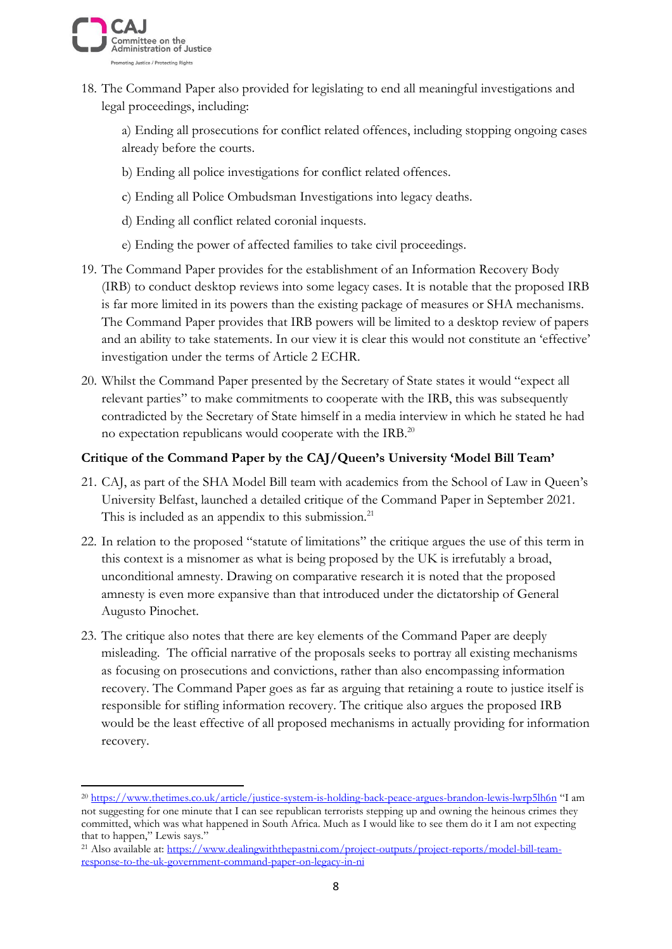

18. The Command Paper also provided for legislating to end all meaningful investigations and legal proceedings, including:

a) Ending all prosecutions for conflict related offences, including stopping ongoing cases already before the courts.

- b) Ending all police investigations for conflict related offences.
- c) Ending all Police Ombudsman Investigations into legacy deaths.
- d) Ending all conflict related coronial inquests.
- e) Ending the power of affected families to take civil proceedings.
- 19. The Command Paper provides for the establishment of an Information Recovery Body (IRB) to conduct desktop reviews into some legacy cases. It is notable that the proposed IRB is far more limited in its powers than the existing package of measures or SHA mechanisms. The Command Paper provides that IRB powers will be limited to a desktop review of papers and an ability to take statements. In our view it is clear this would not constitute an 'effective' investigation under the terms of Article 2 ECHR.
- 20. Whilst the Command Paper presented by the Secretary of State states it would "expect all relevant parties" to make commitments to cooperate with the IRB, this was subsequently contradicted by the Secretary of State himself in a media interview in which he stated he had no expectation republicans would cooperate with the IRB.<sup>20</sup>

### **Critique of the Command Paper by the CAJ/Queen's University 'Model Bill Team'**

- 21. CAJ, as part of the SHA Model Bill team with academics from the School of Law in Queen's University Belfast, launched a detailed critique of the Command Paper in September 2021. This is included as an appendix to this submission. $21$
- 22. In relation to the proposed "statute of limitations" the critique argues the use of this term in this context is a misnomer as what is being proposed by the UK is irrefutably a broad, unconditional amnesty. Drawing on comparative research it is noted that the proposed amnesty is even more expansive than that introduced under the dictatorship of General Augusto Pinochet.
- 23. The critique also notes that there are key elements of the Command Paper are deeply misleading. The official narrative of the proposals seeks to portray all existing mechanisms as focusing on prosecutions and convictions, rather than also encompassing information recovery. The Command Paper goes as far as arguing that retaining a route to justice itself is responsible for stifling information recovery. The critique also argues the proposed IRB would be the least effective of all proposed mechanisms in actually providing for information recovery.

<sup>&</sup>lt;sup>20</sup> <https://www.thetimes.co.uk/article/justice-system-is-holding-back-peace-argues-brandon-lewis-lwrp5lh6n> "I am not suggesting for one minute that I can see republican terrorists stepping up and owning the heinous crimes they committed, which was what happened in South Africa. Much as I would like to see them do it I am not expecting that to happen," Lewis says."

<sup>&</sup>lt;sup>21</sup> Also available at: [https://www.dealingwiththepastni.com/project-outputs/project-reports/model-bill-team](https://www.dealingwiththepastni.com/project-outputs/project-reports/model-bill-team-response-to-the-uk-government-command-paper-on-legacy-in-ni)[response-to-the-uk-government-command-paper-on-legacy-in-ni](https://www.dealingwiththepastni.com/project-outputs/project-reports/model-bill-team-response-to-the-uk-government-command-paper-on-legacy-in-ni)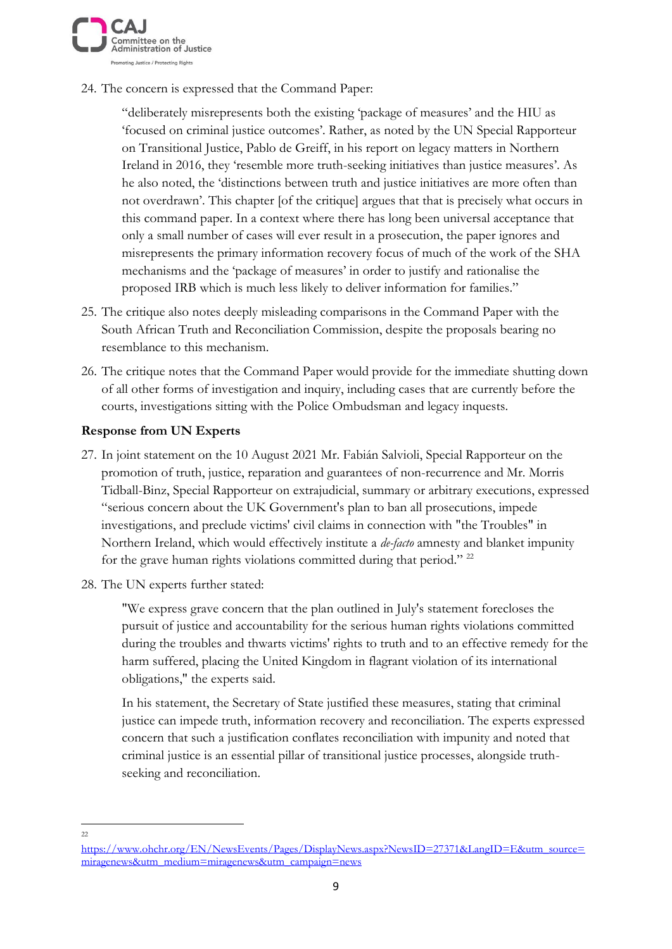

24. The concern is expressed that the Command Paper:

"deliberately misrepresents both the existing 'package of measures' and the HIU as 'focused on criminal justice outcomes'. Rather, as noted by the UN Special Rapporteur on Transitional Justice, Pablo de Greiff, in his report on legacy matters in Northern Ireland in 2016, they 'resemble more truth-seeking initiatives than justice measures'. As he also noted, the 'distinctions between truth and justice initiatives are more often than not overdrawn'. This chapter [of the critique] argues that that is precisely what occurs in this command paper. In a context where there has long been universal acceptance that only a small number of cases will ever result in a prosecution, the paper ignores and misrepresents the primary information recovery focus of much of the work of the SHA mechanisms and the 'package of measures' in order to justify and rationalise the proposed IRB which is much less likely to deliver information for families."

- 25. The critique also notes deeply misleading comparisons in the Command Paper with the South African Truth and Reconciliation Commission, despite the proposals bearing no resemblance to this mechanism.
- 26. The critique notes that the Command Paper would provide for the immediate shutting down of all other forms of investigation and inquiry, including cases that are currently before the courts, investigations sitting with the Police Ombudsman and legacy inquests.

### **Response from UN Experts**

- 27. In joint statement on the 10 August 2021 Mr. Fabián Salvioli, Special Rapporteur on the promotion of truth, justice, reparation and guarantees of non-recurrence and Mr. Morris Tidball-Binz, Special Rapporteur on extrajudicial, summary or arbitrary executions, expressed "serious concern about the UK Government's plan to ban all prosecutions, impede investigations, and preclude victims' civil claims in connection with "the Troubles" in Northern Ireland, which would effectively institute a *de-facto* amnesty and blanket impunity for the grave human rights violations committed during that period." <sup>22</sup>
- 28. The UN experts further stated:

"We express grave concern that the plan outlined in July's statement forecloses the pursuit of justice and accountability for the serious human rights violations committed during the troubles and thwarts victims' rights to truth and to an effective remedy for the harm suffered, placing the United Kingdom in flagrant violation of its international obligations," the experts said.

In his statement, the Secretary of State justified these measures, stating that criminal justice can impede truth, information recovery and reconciliation. The experts expressed concern that such a justification conflates reconciliation with impunity and noted that criminal justice is an essential pillar of transitional justice processes, alongside truthseeking and reconciliation.

 $22$ 

[https://www.ohchr.org/EN/NewsEvents/Pages/DisplayNews.aspx?NewsID=27371&LangID=E&utm\\_source=](https://www.ohchr.org/EN/NewsEvents/Pages/DisplayNews.aspx?NewsID=27371&LangID=E&utm_source=miragenews&utm_medium=miragenews&utm_campaign=news) [miragenews&utm\\_medium=miragenews&utm\\_campaign=news](https://www.ohchr.org/EN/NewsEvents/Pages/DisplayNews.aspx?NewsID=27371&LangID=E&utm_source=miragenews&utm_medium=miragenews&utm_campaign=news)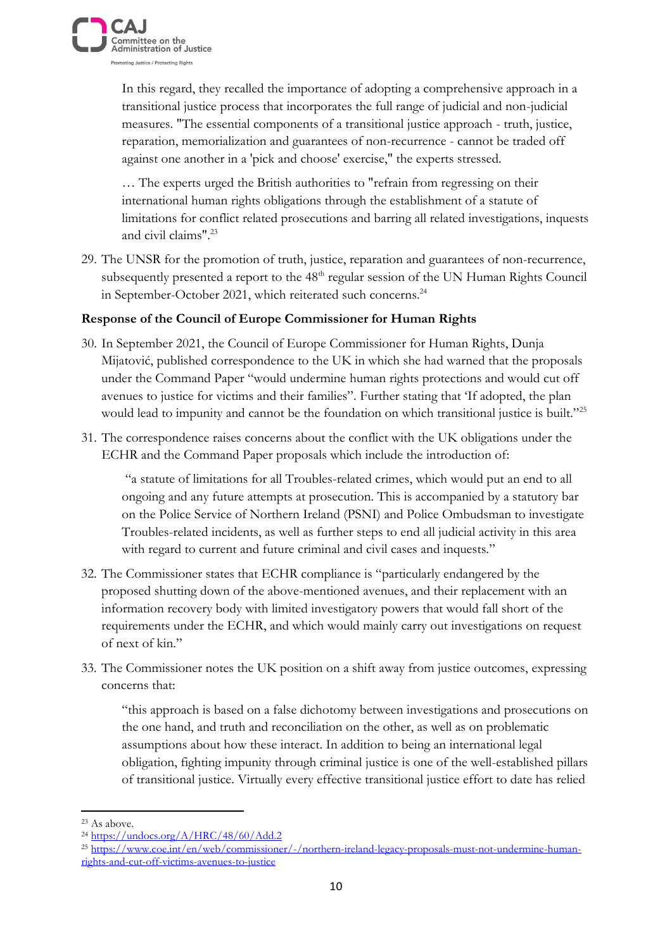

In this regard, they recalled the importance of adopting a comprehensive approach in a transitional justice process that incorporates the full range of judicial and non-judicial measures. "The essential components of a transitional justice approach - truth, justice, reparation, memorialization and guarantees of non-recurrence - cannot be traded off against one another in a 'pick and choose' exercise," the experts stressed.

… The experts urged the British authorities to "refrain from regressing on their international human rights obligations through the establishment of a statute of limitations for conflict related prosecutions and barring all related investigations, inquests and civil claims"<sup>23</sup>

29. The UNSR for the promotion of truth, justice, reparation and guarantees of non-recurrence, subsequently presented a report to the 48<sup>th</sup> regular session of the UN Human Rights Council in September-October 2021, which reiterated such concerns.<sup>24</sup>

#### **Response of the Council of Europe Commissioner for Human Rights**

- 30. In September 2021, the Council of Europe Commissioner for Human Rights, Dunja Mijatović, published correspondence to the UK in which she had warned that the proposals under the Command Paper "would undermine human rights protections and would cut off avenues to justice for victims and their families". Further stating that 'If adopted, the plan would lead to impunity and cannot be the foundation on which transitional justice is built."<sup>25</sup>
- 31. The correspondence raises concerns about the conflict with the UK obligations under the ECHR and the Command Paper proposals which include the introduction of:

"a statute of limitations for all Troubles-related crimes, which would put an end to all ongoing and any future attempts at prosecution. This is accompanied by a statutory bar on the Police Service of Northern Ireland (PSNI) and Police Ombudsman to investigate Troubles-related incidents, as well as further steps to end all judicial activity in this area with regard to current and future criminal and civil cases and inquests."

- 32. The Commissioner states that ECHR compliance is "particularly endangered by the proposed shutting down of the above-mentioned avenues, and their replacement with an information recovery body with limited investigatory powers that would fall short of the requirements under the ECHR, and which would mainly carry out investigations on request of next of kin."
- 33. The Commissioner notes the UK position on a shift away from justice outcomes, expressing concerns that:

"this approach is based on a false dichotomy between investigations and prosecutions on the one hand, and truth and reconciliation on the other, as well as on problematic assumptions about how these interact. In addition to being an international legal obligation, fighting impunity through criminal justice is one of the well-established pillars of transitional justice. Virtually every effective transitional justice effort to date has relied

<sup>23</sup> As above.

<sup>24</sup> <https://undocs.org/A/HRC/48/60/Add.2>

<sup>&</sup>lt;sup>25</sup> [https://www.coe.int/en/web/commissioner/-/northern-ireland-legacy-proposals-must-not-undermine-human](https://www.coe.int/en/web/commissioner/-/northern-ireland-legacy-proposals-must-not-undermine-human-rights-and-cut-off-victims-avenues-to-justice)[rights-and-cut-off-victims-avenues-to-justice](https://www.coe.int/en/web/commissioner/-/northern-ireland-legacy-proposals-must-not-undermine-human-rights-and-cut-off-victims-avenues-to-justice)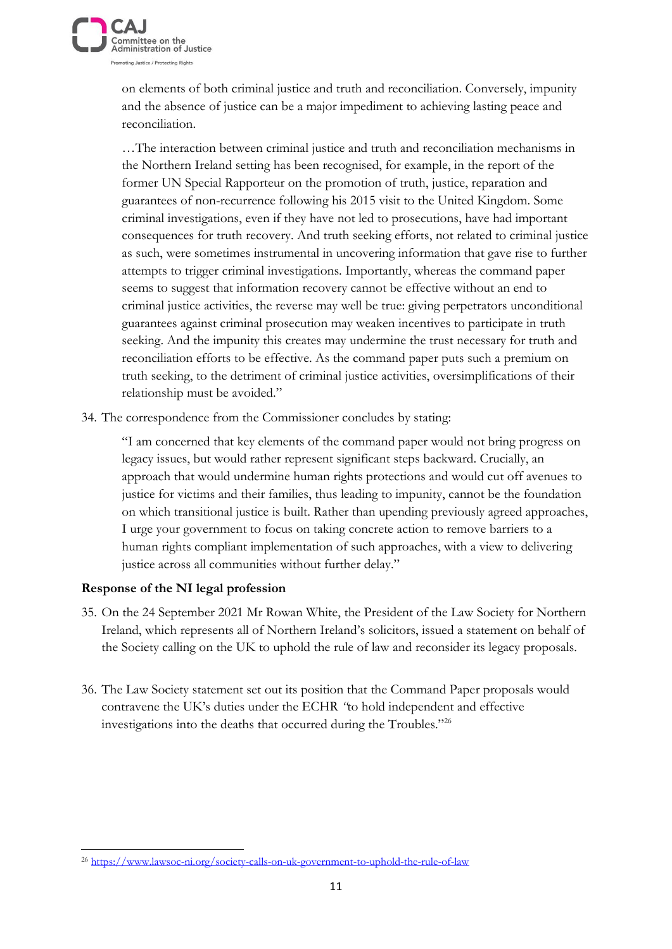

on elements of both criminal justice and truth and reconciliation. Conversely, impunity and the absence of justice can be a major impediment to achieving lasting peace and reconciliation.

…The interaction between criminal justice and truth and reconciliation mechanisms in the Northern Ireland setting has been recognised, for example, in the report of the former UN Special Rapporteur on the promotion of truth, justice, reparation and guarantees of non-recurrence following his 2015 visit to the United Kingdom. Some criminal investigations, even if they have not led to prosecutions, have had important consequences for truth recovery. And truth seeking efforts, not related to criminal justice as such, were sometimes instrumental in uncovering information that gave rise to further attempts to trigger criminal investigations. Importantly, whereas the command paper seems to suggest that information recovery cannot be effective without an end to criminal justice activities, the reverse may well be true: giving perpetrators unconditional guarantees against criminal prosecution may weaken incentives to participate in truth seeking. And the impunity this creates may undermine the trust necessary for truth and reconciliation efforts to be effective. As the command paper puts such a premium on truth seeking, to the detriment of criminal justice activities, oversimplifications of their relationship must be avoided."

34. The correspondence from the Commissioner concludes by stating:

"I am concerned that key elements of the command paper would not bring progress on legacy issues, but would rather represent significant steps backward. Crucially, an approach that would undermine human rights protections and would cut off avenues to justice for victims and their families, thus leading to impunity, cannot be the foundation on which transitional justice is built. Rather than upending previously agreed approaches, I urge your government to focus on taking concrete action to remove barriers to a human rights compliant implementation of such approaches, with a view to delivering justice across all communities without further delay."

## **Response of the NI legal profession**

- 35. On the 24 September 2021 Mr Rowan White, the President of the Law Society for Northern Ireland, which represents all of Northern Ireland's solicitors, issued a statement on behalf of the Society calling on the UK to uphold the rule of law and reconsider its legacy proposals.
- 36. The Law Society statement set out its position that the Command Paper proposals would contravene the UK's duties under the ECHR *"*to hold independent and effective investigations into the deaths that occurred during the Troubles."<sup>26</sup>

<sup>26</sup> <https://www.lawsoc-ni.org/society-calls-on-uk-government-to-uphold-the-rule-of-law>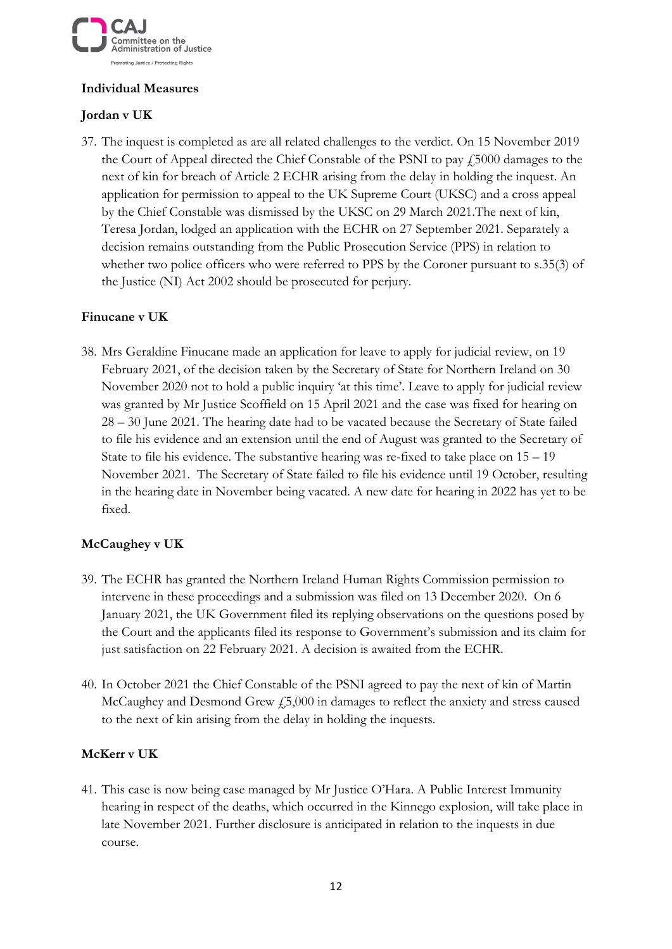

## **Individual Measures**

# **Jordan v UK**

37. The inquest is completed as are all related challenges to the verdict. On 15 November 2019 the Court of Appeal directed the Chief Constable of the PSNI to pay  $\frac{1}{2}5000$  damages to the next of kin for breach of Article 2 ECHR arising from the delay in holding the inquest. An application for permission to appeal to the UK Supreme Court (UKSC) and a cross appeal by the Chief Constable was dismissed by the UKSC on 29 March 2021.The next of kin, Teresa Jordan, lodged an application with the ECHR on 27 September 2021. Separately a decision remains outstanding from the Public Prosecution Service (PPS) in relation to whether two police officers who were referred to PPS by the Coroner pursuant to s.35(3) of the Justice (NI) Act 2002 should be prosecuted for perjury.

# **Finucane v UK**

38. Mrs Geraldine Finucane made an application for leave to apply for judicial review, on 19 February 2021, of the decision taken by the Secretary of State for Northern Ireland on 30 November 2020 not to hold a public inquiry 'at this time'. Leave to apply for judicial review was granted by Mr Justice Scoffield on 15 April 2021 and the case was fixed for hearing on 28 – 30 June 2021. The hearing date had to be vacated because the Secretary of State failed to file his evidence and an extension until the end of August was granted to the Secretary of State to file his evidence. The substantive hearing was re-fixed to take place on  $15 - 19$ November 2021. The Secretary of State failed to file his evidence until 19 October, resulting in the hearing date in November being vacated. A new date for hearing in 2022 has yet to be fixed.

## **McCaughey v UK**

- 39. The ECHR has granted the Northern Ireland Human Rights Commission permission to intervene in these proceedings and a submission was filed on 13 December 2020. On 6 January 2021, the UK Government filed its replying observations on the questions posed by the Court and the applicants filed its response to Government's submission and its claim for just satisfaction on 22 February 2021. A decision is awaited from the ECHR.
- 40. In October 2021 the Chief Constable of the PSNI agreed to pay the next of kin of Martin McCaughey and Desmond Grew  $f_2$ 5,000 in damages to reflect the anxiety and stress caused to the next of kin arising from the delay in holding the inquests.

## **McKerr v UK**

41. This case is now being case managed by Mr Justice O'Hara. A Public Interest Immunity hearing in respect of the deaths, which occurred in the Kinnego explosion, will take place in late November 2021. Further disclosure is anticipated in relation to the inquests in due course.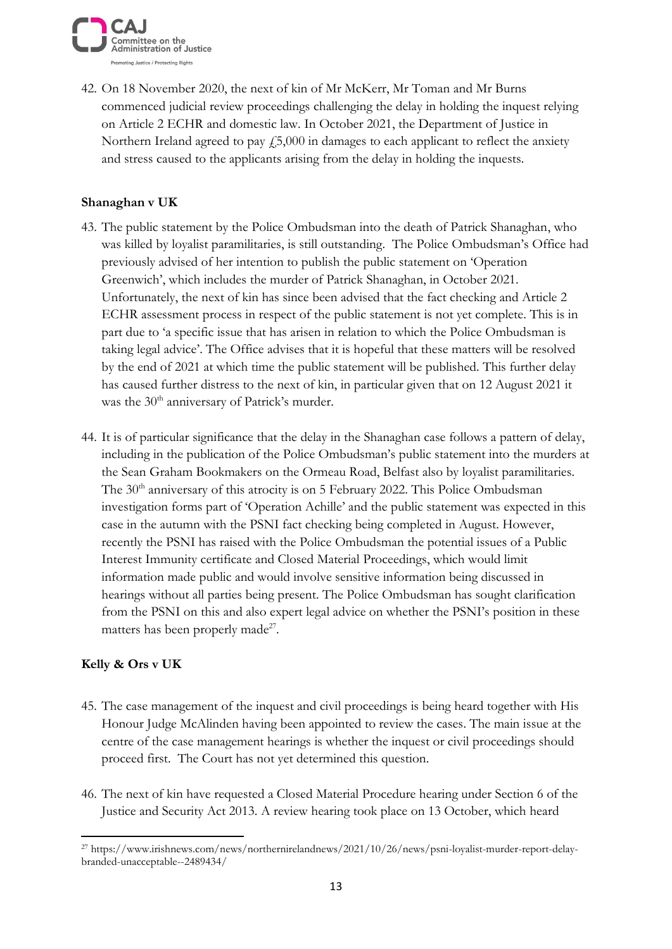

42. On 18 November 2020, the next of kin of Mr McKerr, Mr Toman and Mr Burns commenced judicial review proceedings challenging the delay in holding the inquest relying on Article 2 ECHR and domestic law. In October 2021, the Department of Justice in Northern Ireland agreed to pay  $f$ , 5,000 in damages to each applicant to reflect the anxiety and stress caused to the applicants arising from the delay in holding the inquests.

### **Shanaghan v UK**

- 43. The public statement by the Police Ombudsman into the death of Patrick Shanaghan, who was killed by loyalist paramilitaries, is still outstanding. The Police Ombudsman's Office had previously advised of her intention to publish the public statement on 'Operation Greenwich', which includes the murder of Patrick Shanaghan, in October 2021. Unfortunately, the next of kin has since been advised that the fact checking and Article 2 ECHR assessment process in respect of the public statement is not yet complete. This is in part due to 'a specific issue that has arisen in relation to which the Police Ombudsman is taking legal advice'. The Office advises that it is hopeful that these matters will be resolved by the end of 2021 at which time the public statement will be published. This further delay has caused further distress to the next of kin, in particular given that on 12 August 2021 it was the 30<sup>th</sup> anniversary of Patrick's murder.
- 44. It is of particular significance that the delay in the Shanaghan case follows a pattern of delay, including in the publication of the Police Ombudsman's public statement into the murders at the Sean Graham Bookmakers on the Ormeau Road, Belfast also by loyalist paramilitaries. The 30<sup>th</sup> anniversary of this atrocity is on 5 February 2022. This Police Ombudsman investigation forms part of 'Operation Achille' and the public statement was expected in this case in the autumn with the PSNI fact checking being completed in August. However, recently the PSNI has raised with the Police Ombudsman the potential issues of a Public Interest Immunity certificate and Closed Material Proceedings, which would limit information made public and would involve sensitive information being discussed in hearings without all parties being present. The Police Ombudsman has sought clarification from the PSNI on this and also expert legal advice on whether the PSNI's position in these matters has been properly made<sup>27</sup>.

#### **Kelly & Ors v UK**

- 45. The case management of the inquest and civil proceedings is being heard together with His Honour Judge McAlinden having been appointed to review the cases. The main issue at the centre of the case management hearings is whether the inquest or civil proceedings should proceed first. The Court has not yet determined this question.
- 46. The next of kin have requested a Closed Material Procedure hearing under Section 6 of the Justice and Security Act 2013. A review hearing took place on 13 October, which heard

<sup>27</sup> https://www.irishnews.com/news/northernirelandnews/2021/10/26/news/psni-loyalist-murder-report-delaybranded-unacceptable--2489434/